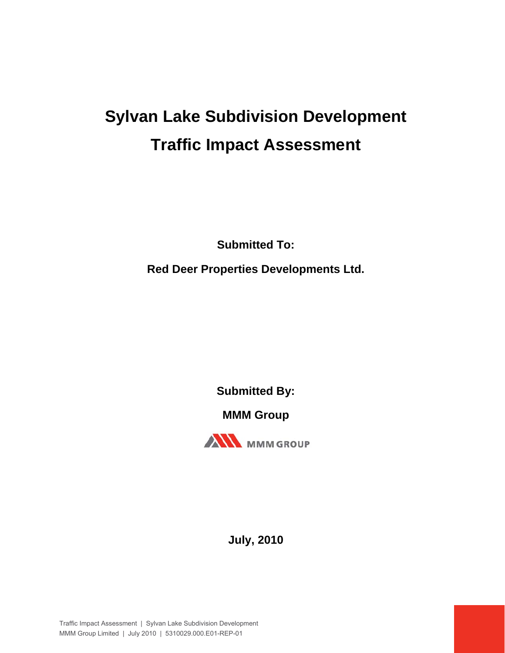# **Sylvan Lake Subdivision Development Traffic Impact Assessment**

**Submitted To: Red Deer Properties Developments Ltd.**

**Submitted By:** 

**MMM Group** 



**July, 2010**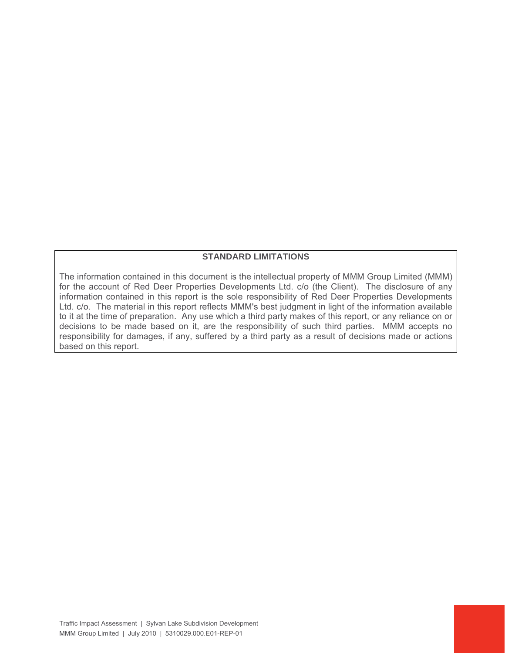#### **STANDARD LIMITATIONS**

The information contained in this document is the intellectual property of MMM Group Limited (MMM) for the account of Red Deer Properties Developments Ltd. c/o (the Client). The disclosure of any information contained in this report is the sole responsibility of Red Deer Properties Developments Ltd. c/o. The material in this report reflects MMM's best judgment in light of the information available to it at the time of preparation. Any use which a third party makes of this report, or any reliance on or decisions to be made based on it, are the responsibility of such third parties. MMM accepts no responsibility for damages, if any, suffered by a third party as a result of decisions made or actions based on this report.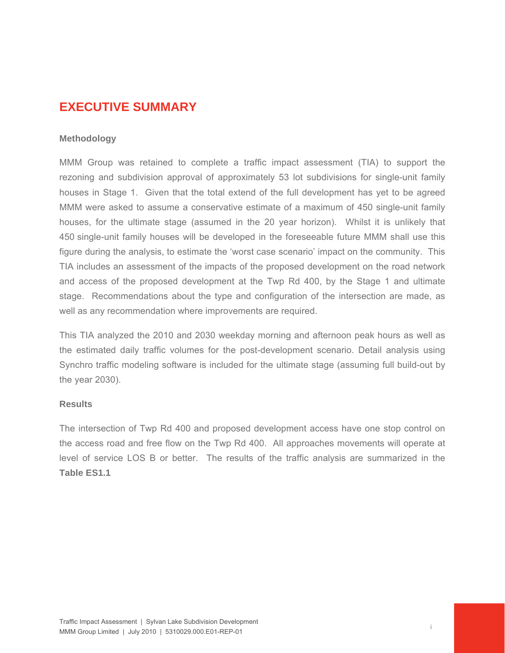## **EXECUTIVE SUMMARY**

#### **Methodology**

MMM Group was retained to complete a traffic impact assessment (TIA) to support the rezoning and subdivision approval of approximately 53 lot subdivisions for single-unit family houses in Stage 1. Given that the total extend of the full development has yet to be agreed MMM were asked to assume a conservative estimate of a maximum of 450 single-unit family houses, for the ultimate stage (assumed in the 20 year horizon). Whilst it is unlikely that 450 single-unit family houses will be developed in the foreseeable future MMM shall use this figure during the analysis, to estimate the 'worst case scenario' impact on the community. This TIA includes an assessment of the impacts of the proposed development on the road network and access of the proposed development at the Twp Rd 400, by the Stage 1 and ultimate stage. Recommendations about the type and configuration of the intersection are made, as well as any recommendation where improvements are required.

This TIA analyzed the 2010 and 2030 weekday morning and afternoon peak hours as well as the estimated daily traffic volumes for the post-development scenario. Detail analysis using Synchro traffic modeling software is included for the ultimate stage (assuming full build-out by the year 2030).

#### **Results**

The intersection of Twp Rd 400 and proposed development access have one stop control on the access road and free flow on the Twp Rd 400. All approaches movements will operate at level of service LOS B or better. The results of the traffic analysis are summarized in the **Table ES1.1**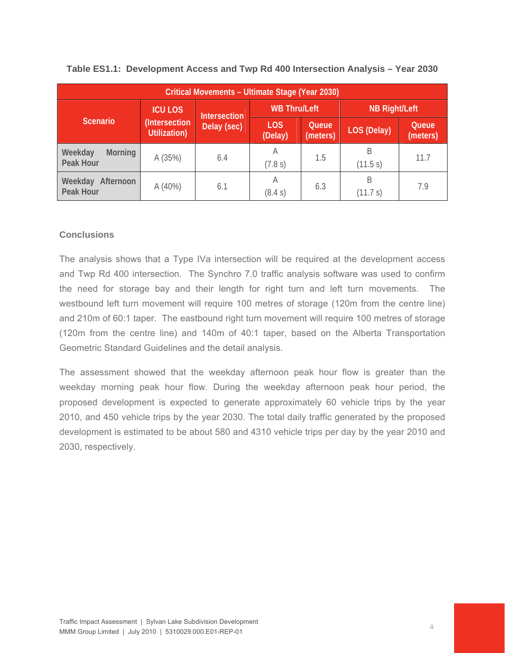| Critical Movements - Ultimate Stage (Year 2030) |                               |                     |                       |                   |                      |                   |  |  |
|-------------------------------------------------|-------------------------------|---------------------|-----------------------|-------------------|----------------------|-------------------|--|--|
|                                                 | <b>ICU LOS</b>                | <b>Intersection</b> | <b>WB Thru/Left</b>   |                   | <b>NB Right/Left</b> |                   |  |  |
| <b>Scenario</b>                                 | (Intersection<br>Utilization) | Delay (sec)         | <b>LOS</b><br>(Delay) | Queue<br>(meters) | <b>LOS (Delay)</b>   | Queue<br>(meters) |  |  |
| Weekday<br>Morning<br>Peak Hour                 | A(35%)                        | 6.4                 | A<br>(7.8 s)          | 1.5               | В<br>(11.5 s)        | 11.7              |  |  |
| Weekday<br>Afternoon<br>Peak Hour               | A(40%)                        | 6.1                 | A<br>(8.4 s)          | 6.3               | B<br>(11.7 s)        | 7.9               |  |  |

#### **Table ES1.1: Development Access and Twp Rd 400 Intersection Analysis – Year 2030**

#### **Conclusions**

The analysis shows that a Type IVa intersection will be required at the development access and Twp Rd 400 intersection. The Synchro 7.0 traffic analysis software was used to confirm the need for storage bay and their length for right turn and left turn movements. The westbound left turn movement will require 100 metres of storage (120m from the centre line) and 210m of 60:1 taper. The eastbound right turn movement will require 100 metres of storage (120m from the centre line) and 140m of 40:1 taper, based on the Alberta Transportation Geometric Standard Guidelines and the detail analysis.

The assessment showed that the weekday afternoon peak hour flow is greater than the weekday morning peak hour flow. During the weekday afternoon peak hour period, the proposed development is expected to generate approximately 60 vehicle trips by the year 2010, and 450 vehicle trips by the year 2030. The total daily traffic generated by the proposed development is estimated to be about 580 and 4310 vehicle trips per day by the year 2010 and 2030, respectively.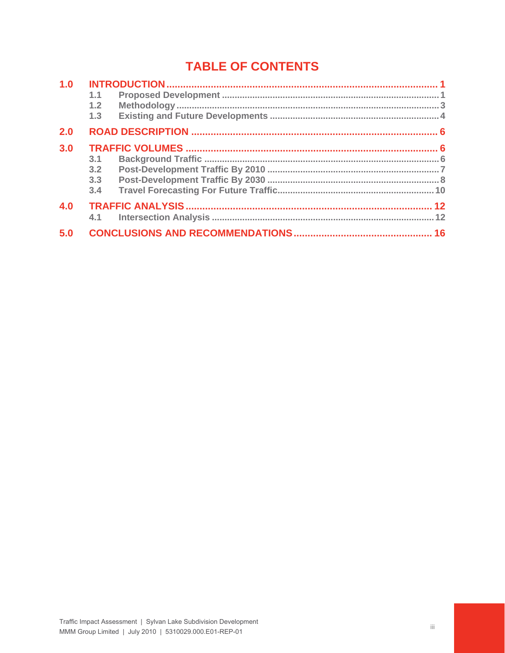# **TABLE OF CONTENTS**

| 1.0 |     |  |
|-----|-----|--|
|     | 1.1 |  |
|     | 1.2 |  |
|     | 1.3 |  |
| 2.0 |     |  |
| 3.0 |     |  |
|     | 3.1 |  |
|     | 3.2 |  |
|     | 3.3 |  |
|     | 3.4 |  |
| 4.0 |     |  |
|     | 4.1 |  |
| 5.0 |     |  |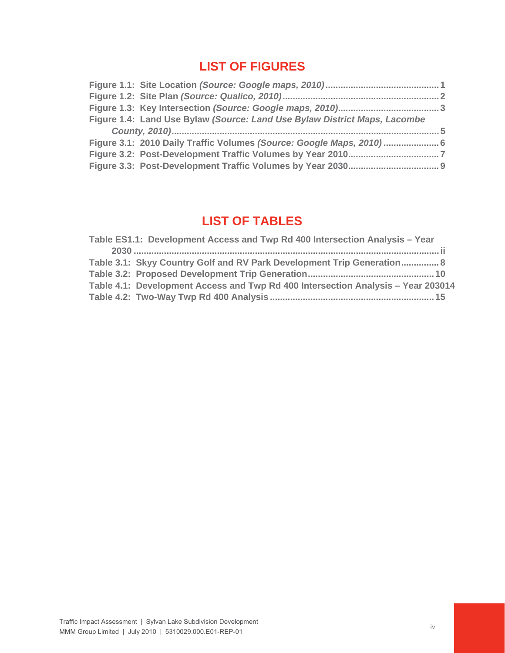# **LIST OF FIGURES**

| Figure 1.4: Land Use Bylaw (Source: Land Use Bylaw District Maps, Lacombe |  |
|---------------------------------------------------------------------------|--|
|                                                                           |  |
|                                                                           |  |
| Figure 3.1: 2010 Daily Traffic Volumes (Source: Google Maps, 2010)6       |  |
|                                                                           |  |

# **LIST OF TABLES**

| Table 3.1: Skyy Country Golf and RV Park Development Trip Generation 8           |  |
|----------------------------------------------------------------------------------|--|
|                                                                                  |  |
| Table 4.1: Development Access and Twp Rd 400 Intersection Analysis - Year 203014 |  |
|                                                                                  |  |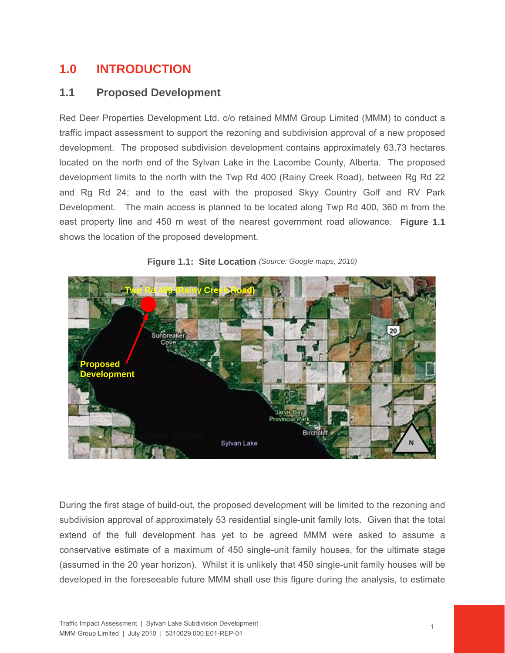# **1.0 INTRODUCTION**

## **1.1 Proposed Development**

Red Deer Properties Development Ltd. c/o retained MMM Group Limited (MMM) to conduct a traffic impact assessment to support the rezoning and subdivision approval of a new proposed development. The proposed subdivision development contains approximately 63.73 hectares located on the north end of the Sylvan Lake in the Lacombe County, Alberta. The proposed development limits to the north with the Twp Rd 400 (Rainy Creek Road), between Rg Rd 22 and Rg Rd 24; and to the east with the proposed Skyy Country Golf and RV Park Development. The main access is planned to be located along Twp Rd 400, 360 m from the east property line and 450 m west of the nearest government road allowance. **Figure 1.1** shows the location of the proposed development.



**Figure 1.1: Site Location** *(Source: Google maps, 2010)*

During the first stage of build-out, the proposed development will be limited to the rezoning and subdivision approval of approximately 53 residential single-unit family lots. Given that the total extend of the full development has yet to be agreed MMM were asked to assume a conservative estimate of a maximum of 450 single-unit family houses, for the ultimate stage (assumed in the 20 year horizon). Whilst it is unlikely that 450 single-unit family houses will be developed in the foreseeable future MMM shall use this figure during the analysis, to estimate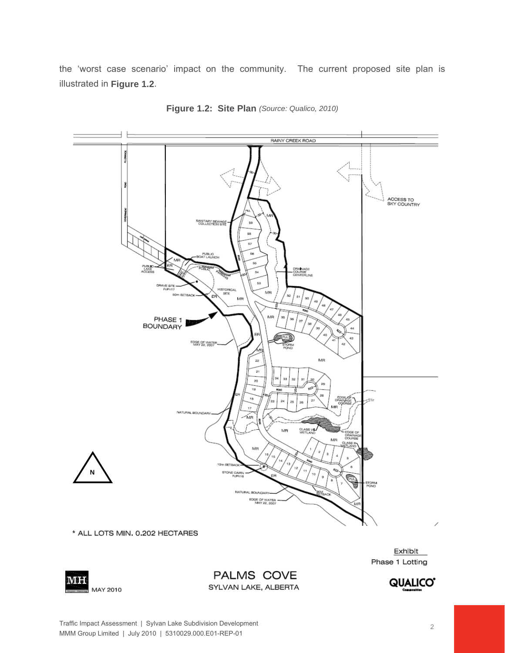the 'worst case scenario' impact on the community. The current proposed site plan is illustrated in **Figure 1.2**.



**Figure 1.2: Site Plan** *(Source: Qualico, 2010)*

Phase 1 Lotting



PALMS COVE SYLVAN LAKE, ALBERTA

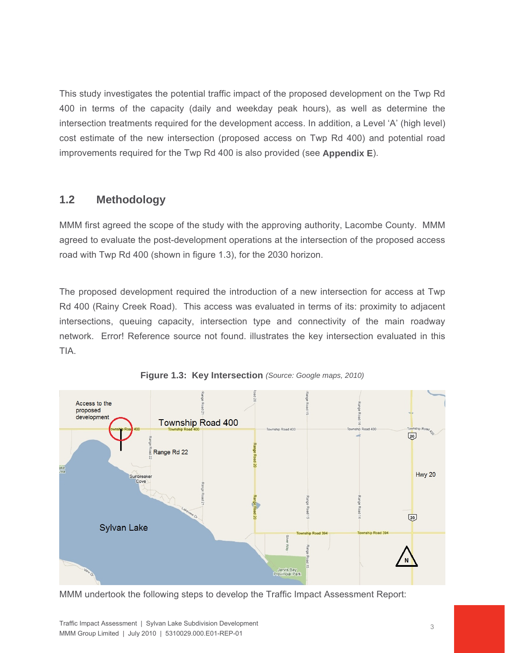This study investigates the potential traffic impact of the proposed development on the Twp Rd 400 in terms of the capacity (daily and weekday peak hours), as well as determine the intersection treatments required for the development access. In addition, a Level 'A' (high level) cost estimate of the new intersection (proposed access on Twp Rd 400) and potential road improvements required for the Twp Rd 400 is also provided (see **Appendix E**).

## **1.2 Methodology**

MMM first agreed the scope of the study with the approving authority, Lacombe County. MMM agreed to evaluate the post-development operations at the intersection of the proposed access road with Twp Rd 400 (shown in figure 1.3), for the 2030 horizon.

The proposed development required the introduction of a new intersection for access at Twp Rd 400 (Rainy Creek Road). This access was evaluated in terms of its: proximity to adjacent intersections, queuing capacity, intersection type and connectivity of the main roadway network. Error! Reference source not found. illustrates the key intersection evaluated in this TIA.



**Figure 1.3: Key Intersection** *(Source: Google maps, 2010)*

MMM undertook the following steps to develop the Traffic Impact Assessment Report: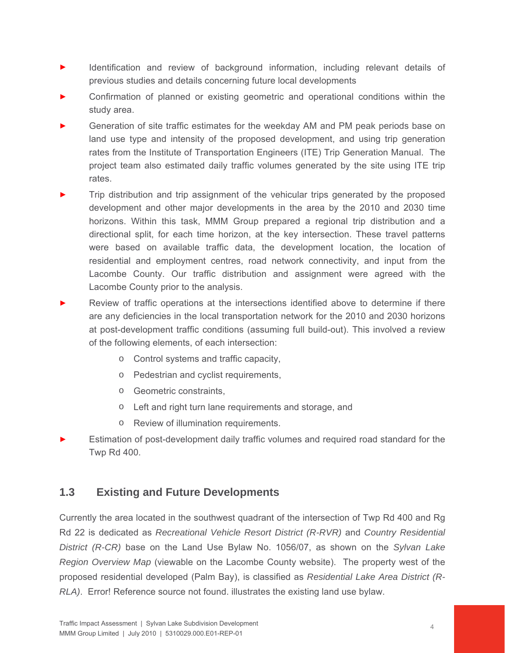- Identification and review of background information, including relevant details of previous studies and details concerning future local developments
- Confirmation of planned or existing geometric and operational conditions within the study area.
- Generation of site traffic estimates for the weekday AM and PM peak periods base on land use type and intensity of the proposed development, and using trip generation rates from the Institute of Transportation Engineers (ITE) Trip Generation Manual. The project team also estimated daily traffic volumes generated by the site using ITE trip rates.
- Trip distribution and trip assignment of the vehicular trips generated by the proposed development and other major developments in the area by the 2010 and 2030 time horizons. Within this task, MMM Group prepared a regional trip distribution and a directional split, for each time horizon, at the key intersection. These travel patterns were based on available traffic data, the development location, the location of residential and employment centres, road network connectivity, and input from the Lacombe County. Our traffic distribution and assignment were agreed with the Lacombe County prior to the analysis.
- Review of traffic operations at the intersections identified above to determine if there are any deficiencies in the local transportation network for the 2010 and 2030 horizons at post-development traffic conditions (assuming full build-out). This involved a review of the following elements, of each intersection:
	- o Control systems and traffic capacity,
	- o Pedestrian and cyclist requirements,
	- o Geometric constraints,
	- o Left and right turn lane requirements and storage, and
	- o Review of illumination requirements.
- Estimation of post-development daily traffic volumes and required road standard for the Twp Rd 400.

## **1.3 Existing and Future Developments**

Currently the area located in the southwest quadrant of the intersection of Twp Rd 400 and Rg Rd 22 is dedicated as *Recreational Vehicle Resort District (R-RVR)* and *Country Residential District (R-CR)* base on the Land Use Bylaw No. 1056/07, as shown on the *Sylvan Lake Region Overview Map* (viewable on the Lacombe County website). The property west of the proposed residential developed (Palm Bay), is classified as *Residential Lake Area District (R-RLA)*. Error! Reference source not found. illustrates the existing land use bylaw.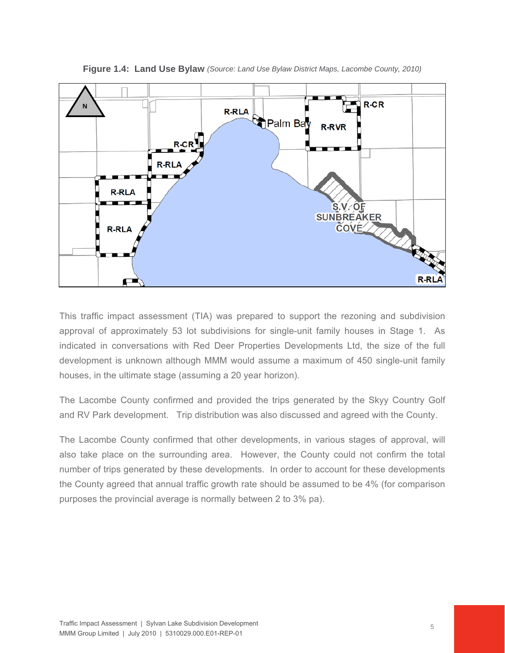

**Figure 1.4: Land Use Bylaw** *(Source: Land Use Bylaw District Maps, Lacombe County, 2010)*

This traffic impact assessment (TIA) was prepared to support the rezoning and subdivision approval of approximately 53 lot subdivisions for single-unit family houses in Stage 1. As indicated in conversations with Red Deer Properties Developments Ltd, the size of the full development is unknown although MMM would assume a maximum of 450 single-unit family houses, in the ultimate stage (assuming a 20 year horizon).

The Lacombe County confirmed and provided the trips generated by the Skyy Country Golf and RV Park development. Trip distribution was also discussed and agreed with the County.

The Lacombe County confirmed that other developments, in various stages of approval, will also take place on the surrounding area. However, the County could not confirm the total number of trips generated by these developments. In order to account for these developments the County agreed that annual traffic growth rate should be assumed to be 4% (for comparison purposes the provincial average is normally between 2 to 3% pa).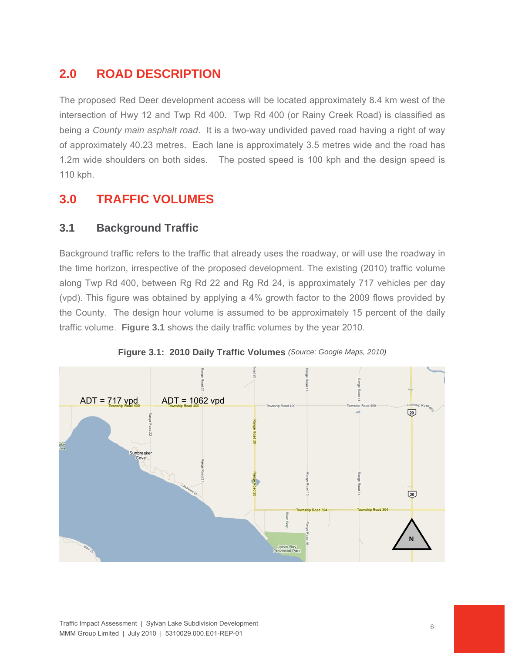# **2.0 ROAD DESCRIPTION**

The proposed Red Deer development access will be located approximately 8.4 km west of the intersection of Hwy 12 and Twp Rd 400. Twp Rd 400 (or Rainy Creek Road) is classified as being a *County main asphalt road*. It is a two-way undivided paved road having a right of way of approximately 40.23 metres. Each lane is approximately 3.5 metres wide and the road has 1.2m wide shoulders on both sides. The posted speed is 100 kph and the design speed is 110 kph.

# **3.0 TRAFFIC VOLUMES**

## **3.1 Background Traffic**

Background traffic refers to the traffic that already uses the roadway, or will use the roadway in the time horizon, irrespective of the proposed development. The existing (2010) traffic volume along Twp Rd 400, between Rg Rd 22 and Rg Rd 24, is approximately 717 vehicles per day (vpd). This figure was obtained by applying a 4% growth factor to the 2009 flows provided by the County. The design hour volume is assumed to be approximately 15 percent of the daily traffic volume. **Figure 3.1** shows the daily traffic volumes by the year 2010.



**Figure 3.1: 2010 Daily Traffic Volumes** *(Source: Google Maps, 2010)*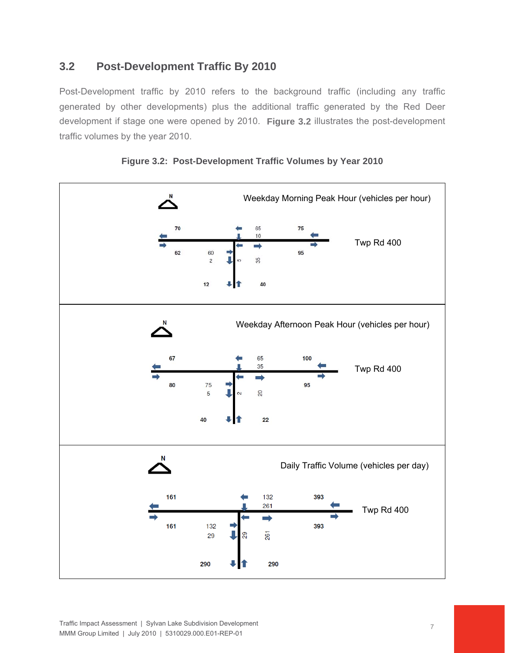## **3.2 Post-Development Traffic By 2010**

Post-Development traffic by 2010 refers to the background traffic (including any traffic generated by other developments) plus the additional traffic generated by the Red Deer development if stage one were opened by 2010. **Figure 3.2** illustrates the post-development traffic volumes by the year 2010.





Traffic Impact Assessment | Sylvan Lake Subdivision Development MMM Group Limited | July 2010 | 5310029.000.E01-REP-01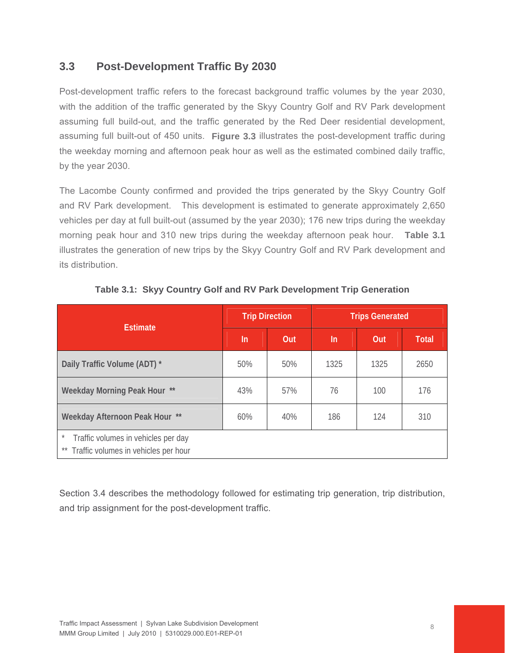## **3.3 Post-Development Traffic By 2030**

Post-development traffic refers to the forecast background traffic volumes by the year 2030, with the addition of the traffic generated by the Skyy Country Golf and RV Park development assuming full build-out, and the traffic generated by the Red Deer residential development, assuming full built-out of 450 units. **Figure 3.3** illustrates the post-development traffic during the weekday morning and afternoon peak hour as well as the estimated combined daily traffic, by the year 2030.

The Lacombe County confirmed and provided the trips generated by the Skyy Country Golf and RV Park development. This development is estimated to generate approximately 2,650 vehicles per day at full built-out (assumed by the year 2030); 176 new trips during the weekday morning peak hour and 310 new trips during the weekday afternoon peak hour. **Table 3.1** illustrates the generation of new trips by the Skyy Country Golf and RV Park development and its distribution.

| <b>Estimate</b>                                                                              |     | <b>Trip Direction</b> | <b>Trips Generated</b> |      |              |  |
|----------------------------------------------------------------------------------------------|-----|-----------------------|------------------------|------|--------------|--|
|                                                                                              | In  | Out                   | $\ln$                  | Out  | <b>Total</b> |  |
| Daily Traffic Volume (ADT) *                                                                 | 50% | 50%                   | 1325                   | 1325 | 2650         |  |
| Weekday Morning Peak Hour **                                                                 | 43% | 57%                   | 76                     | 100  | 176          |  |
| Weekday Afternoon Peak Hour **                                                               | 60% | 40%                   | 186                    | 124  | 310          |  |
| $^{\star}$<br>Traffic volumes in vehicles per day<br>** Traffic volumes in vehicles per hour |     |                       |                        |      |              |  |

**Table 3.1: Skyy Country Golf and RV Park Development Trip Generation** 

Section 3.4 describes the methodology followed for estimating trip generation, trip distribution, and trip assignment for the post-development traffic.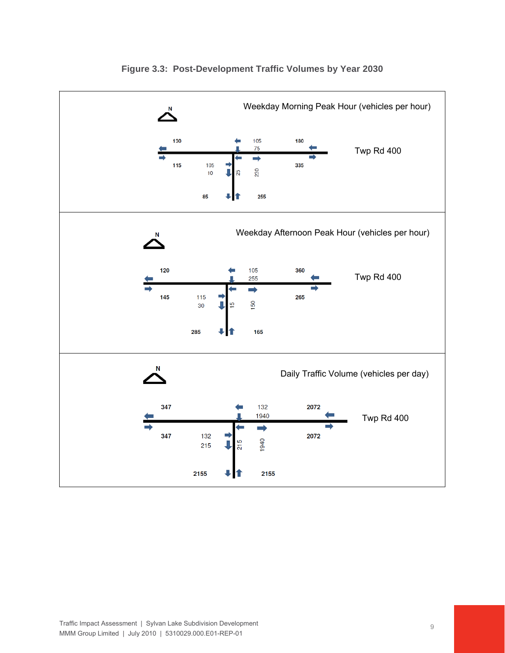

#### **Figure 3.3: Post-Development Traffic Volumes by Year 2030**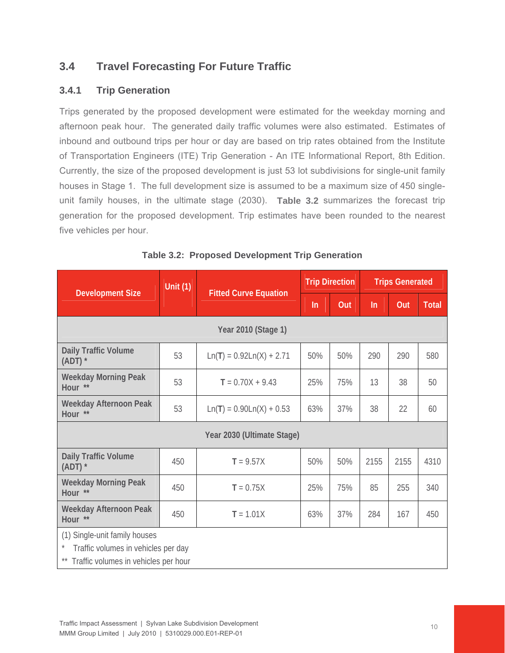## **3.4 Travel Forecasting For Future Traffic**

#### **3.4.1 Trip Generation**

Trips generated by the proposed development were estimated for the weekday morning and afternoon peak hour. The generated daily traffic volumes were also estimated. Estimates of inbound and outbound trips per hour or day are based on trip rates obtained from the Institute of Transportation Engineers (ITE) Trip Generation - An ITE Informational Report, 8th Edition. Currently, the size of the proposed development is just 53 lot subdivisions for single-unit family houses in Stage 1. The full development size is assumed to be a maximum size of 450 singleunit family houses, in the ultimate stage (2030). **Table 3.2** summarizes the forecast trip generation for the proposed development. Trip estimates have been rounded to the nearest five vehicles per hour.

| Unit $(1)$<br><b>Fitted Curve Equation</b><br><b>Development Size</b> |                                     | <b>Trip Direction</b>      |       | <b>Trips Generated</b> |      |      |              |  |
|-----------------------------------------------------------------------|-------------------------------------|----------------------------|-------|------------------------|------|------|--------------|--|
|                                                                       |                                     |                            | $\ln$ | Out                    | ln   | Out  | <b>Total</b> |  |
|                                                                       |                                     | Year 2010 (Stage 1)        |       |                        |      |      |              |  |
| Daily Traffic Volume<br>$(ADT)$ *                                     | 53                                  | $Ln(T) = 0.92Ln(X) + 2.71$ | 50%   | 50%                    | 290  | 290  | 580          |  |
| <b>Weekday Morning Peak</b><br>Hour **                                | 53                                  | $T = 0.70X + 9.43$         | 25%   | 75%                    | 13   | 38   | 50           |  |
| Weekday Afternoon Peak<br>Hour **                                     | 53                                  | $Ln(T) = 0.90Ln(X) + 0.53$ | 63%   | 37%                    | 38   | 22   | 60           |  |
|                                                                       |                                     | Year 2030 (Ultimate Stage) |       |                        |      |      |              |  |
| Daily Traffic Volume<br>$(ADT)$ *                                     | 450                                 | $T = 9.57X$                | 50%   | 50%                    | 2155 | 2155 | 4310         |  |
| <b>Weekday Morning Peak</b><br>Hour                                   | 450                                 | $T = 0.75X$                | 25%   | 75%                    | 85   | 255  | 340          |  |
| Weekday Afternoon Peak<br>Hour **                                     | 450                                 | $T = 1.01X$                | 63%   | 37%                    | 284  | 167  | 450          |  |
| (1) Single-unit family houses                                         | Traffic volumes in vehicles per day |                            |       |                        |      |      |              |  |

|  |  | Table 3.2: Proposed Development Trip Generation |  |  |
|--|--|-------------------------------------------------|--|--|
|--|--|-------------------------------------------------|--|--|

\*\* Traffic volumes in vehicles per hour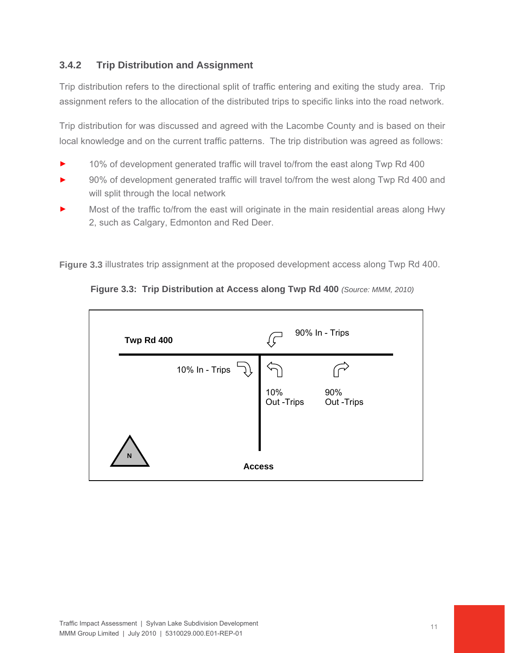#### **3.4.2 Trip Distribution and Assignment**

Trip distribution refers to the directional split of traffic entering and exiting the study area. Trip assignment refers to the allocation of the distributed trips to specific links into the road network.

Trip distribution for was discussed and agreed with the Lacombe County and is based on their local knowledge and on the current traffic patterns. The trip distribution was agreed as follows:

- 10% of development generated traffic will travel to/from the east along Twp Rd 400
- 90% of development generated traffic will travel to/from the west along Twp Rd 400 and will split through the local network
- Most of the traffic to/from the east will originate in the main residential areas along Hwy 2, such as Calgary, Edmonton and Red Deer.

**Figure 3.3** illustrates trip assignment at the proposed development access along Twp Rd 400.



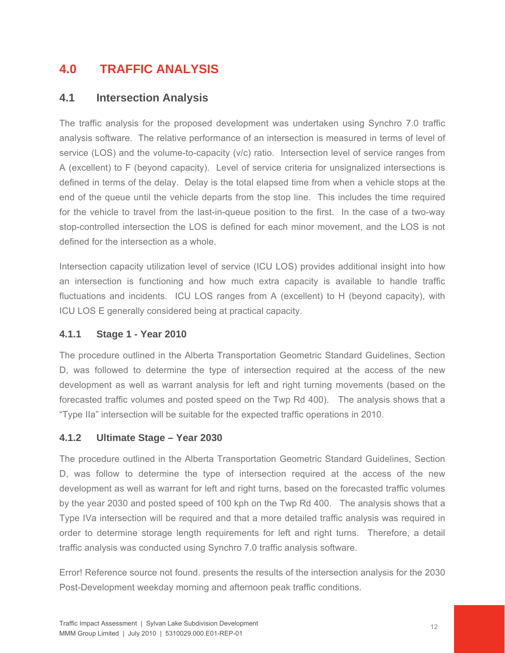# **4.0 TRAFFIC ANALYSIS**

## **4.1 Intersection Analysis**

The traffic analysis for the proposed development was undertaken using Synchro 7.0 traffic analysis software. The relative performance of an intersection is measured in terms of level of service (LOS) and the volume-to-capacity (v/c) ratio. Intersection level of service ranges from A (excellent) to F (beyond capacity). Level of service criteria for unsignalized intersections is defined in terms of the delay. Delay is the total elapsed time from when a vehicle stops at the end of the queue until the vehicle departs from the stop line. This includes the time required for the vehicle to travel from the last-in-queue position to the first. In the case of a two-way stop-controlled intersection the LOS is defined for each minor movement, and the LOS is not defined for the intersection as a whole.

Intersection capacity utilization level of service (ICU LOS) provides additional insight into how an intersection is functioning and how much extra capacity is available to handle traffic fluctuations and incidents. ICU LOS ranges from A (excellent) to H (beyond capacity), with ICU LOS E generally considered being at practical capacity.

#### **4.1.1 Stage 1 - Year 2010**

The procedure outlined in the Alberta Transportation Geometric Standard Guidelines, Section D, was followed to determine the type of intersection required at the access of the new development as well as warrant analysis for left and right turning movements (based on the forecasted traffic volumes and posted speed on the Twp Rd 400). The analysis shows that a "Type IIa" intersection will be suitable for the expected traffic operations in 2010.

#### **4.1.2 Ultimate Stage – Year 2030**

The procedure outlined in the Alberta Transportation Geometric Standard Guidelines, Section D, was follow to determine the type of intersection required at the access of the new development as well as warrant for left and right turns, based on the forecasted traffic volumes by the year 2030 and posted speed of 100 kph on the Twp Rd 400. The analysis shows that a Type IVa intersection will be required and that a more detailed traffic analysis was required in order to determine storage length requirements for left and right turns. Therefore, a detail traffic analysis was conducted using Synchro 7.0 traffic analysis software.

Error! Reference source not found. presents the results of the intersection analysis for the 2030 Post-Development weekday morning and afternoon peak traffic conditions.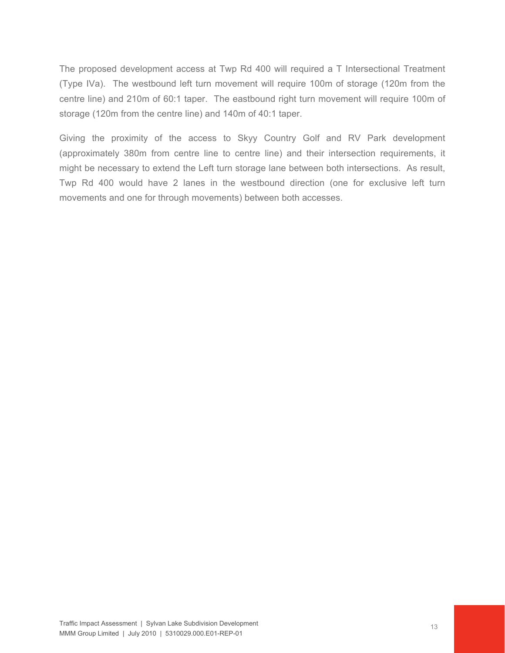The proposed development access at Twp Rd 400 will required a T Intersectional Treatment (Type IVa). The westbound left turn movement will require 100m of storage (120m from the centre line) and 210m of 60:1 taper. The eastbound right turn movement will require 100m of storage (120m from the centre line) and 140m of 40:1 taper.

Giving the proximity of the access to Skyy Country Golf and RV Park development (approximately 380m from centre line to centre line) and their intersection requirements, it might be necessary to extend the Left turn storage lane between both intersections. As result, Twp Rd 400 would have 2 lanes in the westbound direction (one for exclusive left turn movements and one for through movements) between both accesses.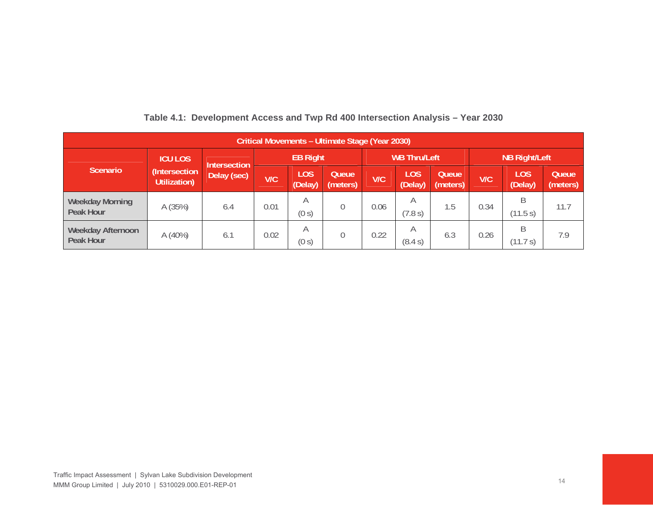| Critical Movements - Ultimate Stage (Year 2030) |                               |                     |                 |                       |                  |                     |                |                      |      |                       |                   |
|-------------------------------------------------|-------------------------------|---------------------|-----------------|-----------------------|------------------|---------------------|----------------|----------------------|------|-----------------------|-------------------|
|                                                 | <b>ICU LOS</b>                | <b>Intersection</b> | <b>EB Right</b> |                       |                  | <b>WB Thru/Left</b> |                | <b>NB Right/Left</b> |      |                       |                   |
| <b>Scenario</b>                                 | (Intersection<br>Utilization) | Delay (sec)         | <b>V/C</b>      | <b>LOS</b><br>(Delay) | Queue<br>meters) | V/C                 | LOS<br>(Delay) | Queue<br>(meters)    | V/C  | <b>LOS</b><br>(Delay) | Queue<br>(meters) |
| <b>Weekday Morning</b><br>Peak Hour             | A (35%)                       | 6.4                 | 0.01            | А<br>(0 s)            |                  | 0.06                | Α<br>(7.8 s)   | 1.5                  | 0.34 | R<br>(11.5 s)         | 11.7              |
| Weekday Afternoon<br>Peak Hour                  | A(40%)                        | 6.1                 | 0.02            | A<br>(0 s)            |                  | 0.22                | A<br>(8.4 s)   | 6.3                  | 0.26 | R<br>(11.7 s)         | 7.9               |

#### **Table 4.1: Development Access and Twp Rd 400 Intersection Analysis – Year 2030**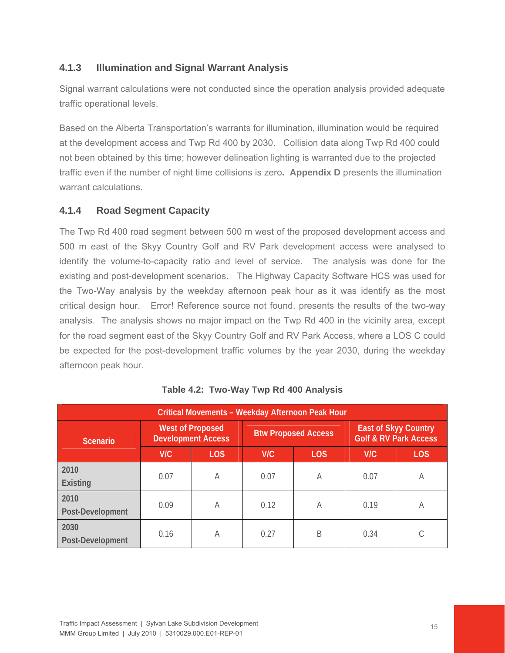## **4.1.3 Illumination and Signal Warrant Analysis**

Signal warrant calculations were not conducted since the operation analysis provided adequate traffic operational levels.

Based on the Alberta Transportation's warrants for illumination, illumination would be required at the development access and Twp Rd 400 by 2030. Collision data along Twp Rd 400 could not been obtained by this time; however delineation lighting is warranted due to the projected traffic even if the number of night time collisions is zero**. Appendix D** presents the illumination warrant calculations.

#### **4.1.4 Road Segment Capacity**

The Twp Rd 400 road segment between 500 m west of the proposed development access and 500 m east of the Skyy Country Golf and RV Park development access were analysed to identify the volume-to-capacity ratio and level of service. The analysis was done for the existing and post-development scenarios. The Highway Capacity Software HCS was used for the Two-Way analysis by the weekday afternoon peak hour as it was identify as the most critical design hour. Error! Reference source not found. presents the results of the two-way analysis. The analysis shows no major impact on the Twp Rd 400 in the vicinity area, except for the road segment east of the Skyy Country Golf and RV Park Access, where a LOS C could be expected for the post-development traffic volumes by the year 2030, during the weekday afternoon peak hour.

| Critical Movements - Weekday Afternoon Peak Hour |                                                      |            |      |                            |                                                                 |            |  |  |
|--------------------------------------------------|------------------------------------------------------|------------|------|----------------------------|-----------------------------------------------------------------|------------|--|--|
| <b>Scenario</b>                                  | <b>West of Proposed</b><br><b>Development Access</b> |            |      | <b>Btw Proposed Access</b> | <b>East of Skyy Country</b><br><b>Golf &amp; RV Park Access</b> |            |  |  |
|                                                  | V/C                                                  | <b>LOS</b> | V/C  | <b>LOS</b>                 | V/C                                                             | <b>LOS</b> |  |  |
| 2010<br>Existing                                 | 0.07                                                 | A          | 0.07 | A                          | 0.07                                                            | A          |  |  |
| 2010<br>Post-Development                         | 0.09                                                 | A          | 0.12 | А                          | 0.19                                                            | A          |  |  |
| 2030<br>Post-Development                         | 0.16                                                 | A          | 0.27 | B                          | 0.34                                                            |            |  |  |

|  | Table 4.2: Two-Way Twp Rd 400 Analysis |  |  |  |
|--|----------------------------------------|--|--|--|
|--|----------------------------------------|--|--|--|